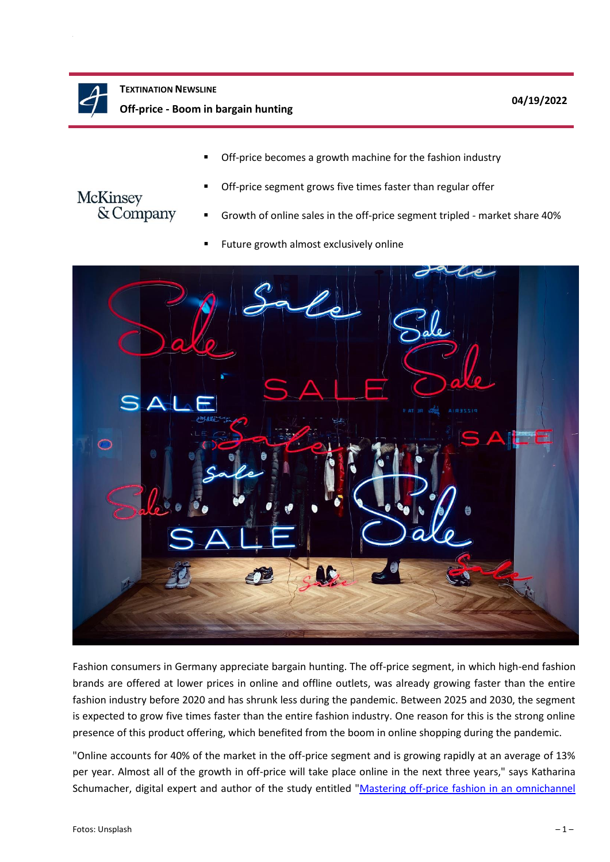

Off-price becomes a growth machine for the fashion industry



- Off-price segment grows five times faster than regular offer
- Growth of online sales in the off-price segment tripled market share 40%
- Future growth almost exclusively online



Fashion consumers in Germany appreciate bargain hunting. The off-price segment, in which high-end fashion brands are offered at lower prices in online and offline outlets, was already growing faster than the entire fashion industry before 2020 and has shrunk less during the pandemic. Between 2025 and 2030, the segment is expected to grow five times faster than the entire fashion industry. One reason for this is the strong online presence of this product offering, which benefited from the boom in online shopping during the pandemic.

"Online accounts for 40% of the market in the off-price segment and is growing rapidly at an average of 13% per year. Almost all of the growth in off-price will take place online in the next three years," says Katharina Schumacher, digital expert and author of the study entitled "Mastering off-price fashion in an omnichannel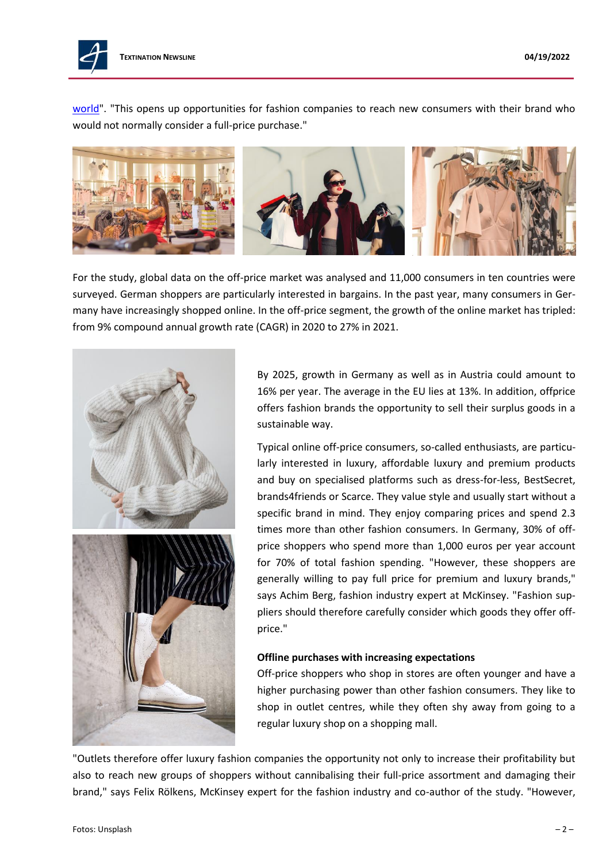

[world"](https://www.mckinsey.de/industries/retail/our-insights/mastering-off-price-fashion-in-an-omnichannel-world). "This opens up opportunities for fashion companies to reach new consumers with their brand who would not normally consider a full-price purchase."



For the study, global data on the off-price market was analysed and 11,000 consumers in ten countries were surveyed. German shoppers are particularly interested in bargains. In the past year, many consumers in Germany have increasingly shopped online. In the off-price segment, the growth of the online market has tripled: from 9% compound annual growth rate (CAGR) in 2020 to 27% in 2021.



By 2025, growth in Germany as well as in Austria could amount to 16% per year. The average in the EU lies at 13%. In addition, offprice offers fashion brands the opportunity to sell their surplus goods in a sustainable way.

Typical online off-price consumers, so-called enthusiasts, are particularly interested in luxury, affordable luxury and premium products and buy on specialised platforms such as dress-for-less, BestSecret, brands4friends or Scarce. They value style and usually start without a specific brand in mind. They enjoy comparing prices and spend 2.3 times more than other fashion consumers. In Germany, 30% of offprice shoppers who spend more than 1,000 euros per year account for 70% of total fashion spending. "However, these shoppers are generally willing to pay full price for premium and luxury brands," says Achim Berg, fashion industry expert at McKinsey. "Fashion suppliers should therefore carefully consider which goods they offer offprice."

## **Offline purchases with increasing expectations**

Off-price shoppers who shop in stores are often younger and have a higher purchasing power than other fashion consumers. They like to shop in outlet centres, while they often shy away from going to a regular luxury shop on a shopping mall.

"Outlets therefore offer luxury fashion companies the opportunity not only to increase their profitability but also to reach new groups of shoppers without cannibalising their full-price assortment and damaging their brand," says Felix Rölkens, McKinsey expert for the fashion industry and co-author of the study. "However,